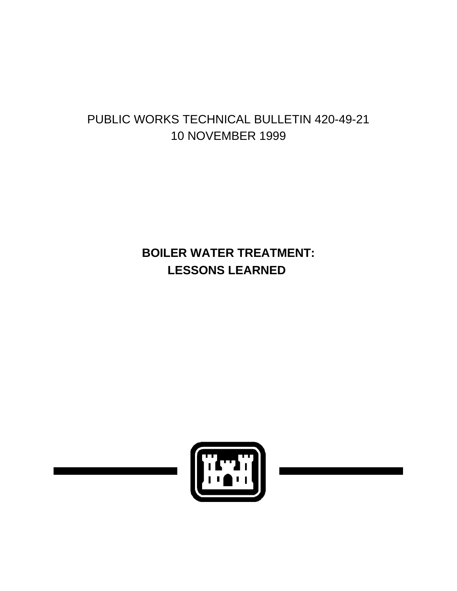# PUBLIC WORKS TECHNICAL BULLETIN 420-49-21 10 NOVEMBER 1999

# **BOILER WATER TREATMENT: LESSONS LEARNED**

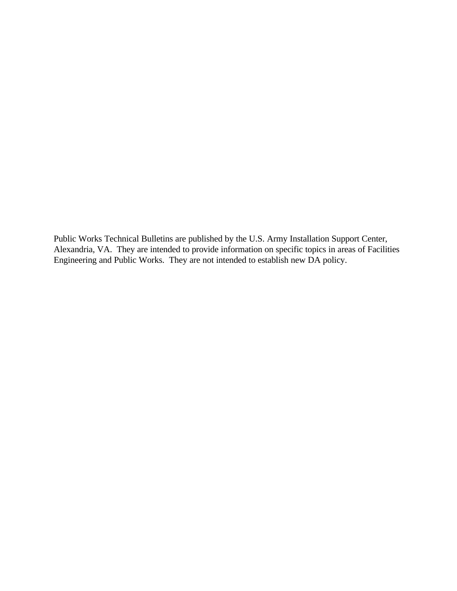Public Works Technical Bulletins are published by the U.S. Army Installation Support Center, Alexandria, VA. They are intended to provide information on specific topics in areas of Facilities Engineering and Public Works. They are not intended to establish new DA policy.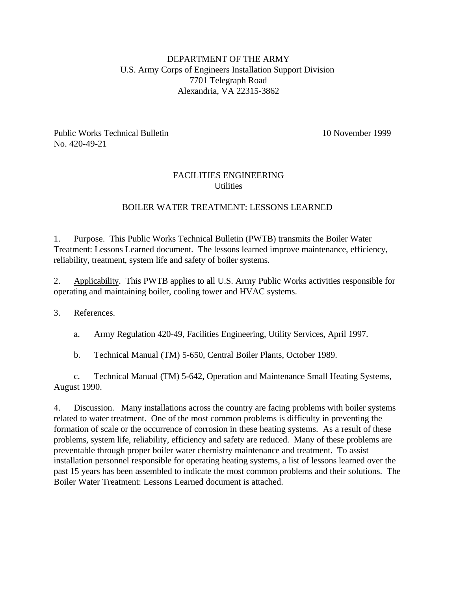# DEPARTMENT OF THE ARMY U.S. Army Corps of Engineers Installation Support Division 7701 Telegraph Road Alexandria, VA 22315-3862

Public Works Technical Bulletin 10 November 1999 No. 420-49-21

# FACILITIES ENGINEERING **Utilities**

# BOILER WATER TREATMENT: LESSONS LEARNED

1. Purpose. This Public Works Technical Bulletin (PWTB) transmits the Boiler Water Treatment: Lessons Learned document. The lessons learned improve maintenance, efficiency, reliability, treatment, system life and safety of boiler systems.

2. Applicability. This PWTB applies to all U.S. Army Public Works activities responsible for operating and maintaining boiler, cooling tower and HVAC systems.

# 3. References.

a. Army Regulation 420-49, Facilities Engineering, Utility Services, April 1997.

b. Technical Manual (TM) 5-650, Central Boiler Plants, October 1989.

c. Technical Manual (TM) 5-642, Operation and Maintenance Small Heating Systems, August 1990.

4. Discussion. Many installations across the country are facing problems with boiler systems related to water treatment. One of the most common problems is difficulty in preventing the formation of scale or the occurrence of corrosion in these heating systems. As a result of these problems, system life, reliability, efficiency and safety are reduced. Many of these problems are preventable through proper boiler water chemistry maintenance and treatment. To assist installation personnel responsible for operating heating systems, a list of lessons learned over the past 15 years has been assembled to indicate the most common problems and their solutions. The Boiler Water Treatment: Lessons Learned document is attached.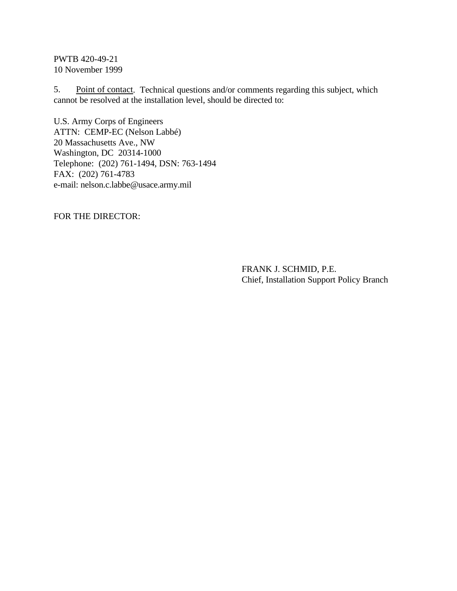PWTB 420-49-21 10 November 1999

5. Point of contact. Technical questions and/or comments regarding this subject, which cannot be resolved at the installation level, should be directed to:

U.S. Army Corps of Engineers ATTN: CEMP-EC (Nelson Labbé) 20 Massachusetts Ave., NW Washington, DC 20314-1000 Telephone: (202) 761-1494, DSN: 763-1494 FAX: (202) 761-4783 e-mail: nelson.c.labbe@usace.army.mil

FOR THE DIRECTOR:

FRANK J. SCHMID, P.E. Chief, Installation Support Policy Branch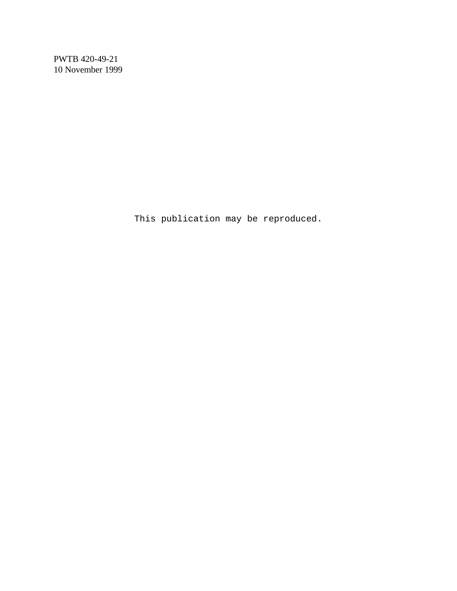PWTB 420-49-21 10 November 1999

This publication may be reproduced.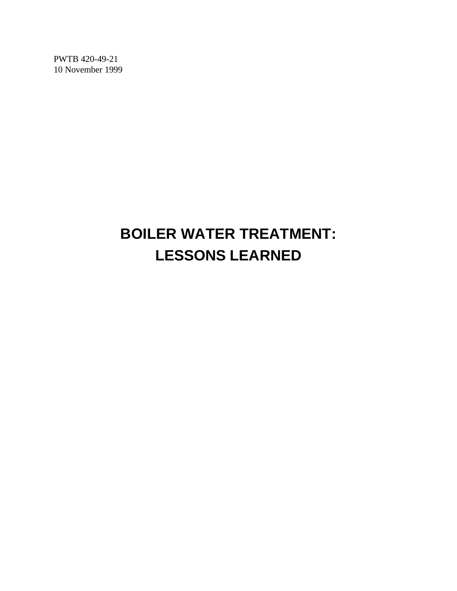PWTB 420-49-21 10 November 1999

# **BOILER WATER TREATMENT: LESSONS LEARNED**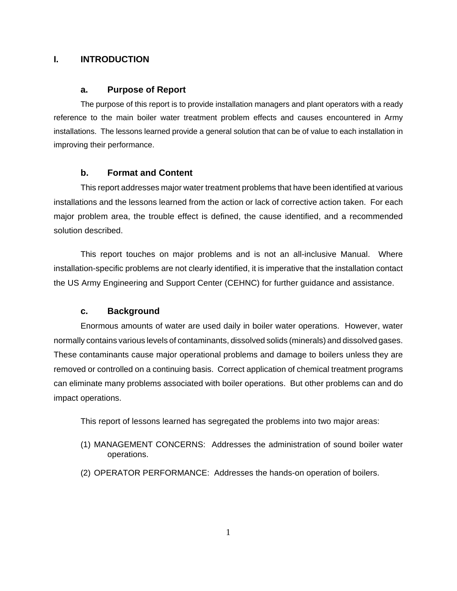#### **I. INTRODUCTION**

#### **a. Purpose of Report**

The purpose of this report is to provide installation managers and plant operators with a ready reference to the main boiler water treatment problem effects and causes encountered in Army installations. The lessons learned provide a general solution that can be of value to each installation in improving their performance.

#### **b. Format and Content**

This report addresses major water treatment problems that have been identified at various installations and the lessons learned from the action or lack of corrective action taken. For each major problem area, the trouble effect is defined, the cause identified, and a recommended solution described.

This report touches on major problems and is not an all-inclusive Manual. Where installation-specific problems are not clearly identified, it is imperative that the installation contact the US Army Engineering and Support Center (CEHNC) for further guidance and assistance.

#### **c. Background**

Enormous amounts of water are used daily in boiler water operations. However, water normally contains various levels of contaminants, dissolved solids (minerals) and dissolved gases. These contaminants cause major operational problems and damage to boilers unless they are removed or controlled on a continuing basis. Correct application of chemical treatment programs can eliminate many problems associated with boiler operations. But other problems can and do impact operations.

This report of lessons learned has segregated the problems into two major areas:

- (1) MANAGEMENT CONCERNS: Addresses the administration of sound boiler water operations.
- (2) OPERATOR PERFORMANCE: Addresses the hands-on operation of boilers.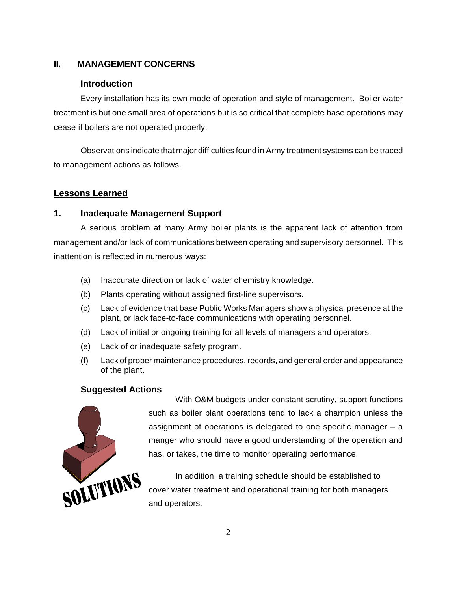# **II. MANAGEMENT CONCERNS**

# **Introduction**

Every installation has its own mode of operation and style of management. Boiler water treatment is but one small area of operations but is so critical that complete base operations may cease if boilers are not operated properly.

Observations indicate that major difficulties found in Army treatment systems can be traced to management actions as follows.

# **Lessons Learned**

# **1. Inadequate Management Support**

A serious problem at many Army boiler plants is the apparent lack of attention from management and/or lack of communications between operating and supervisory personnel. This inattention is reflected in numerous ways:

- (a) Inaccurate direction or lack of water chemistry knowledge.
- (b) Plants operating without assigned first-line supervisors.
- (c) Lack of evidence that base Public Works Managers show a physical presence at the plant, or lack face-to-face communications with operating personnel.
- (d) Lack of initial or ongoing training for all levels of managers and operators.
- (e) Lack of or inadequate safety program.
- (f) Lack of proper maintenance procedures, records, and general order and appearance of the plant.

# **Suggested Actions**



With O&M budgets under constant scrutiny, support functions such as boiler plant operations tend to lack a champion unless the assignment of operations is delegated to one specific manager – a manger who should have a good understanding of the operation and has, or takes, the time to monitor operating performance.

In addition, a training schedule should be established to cover water treatment and operational training for both managers and operators.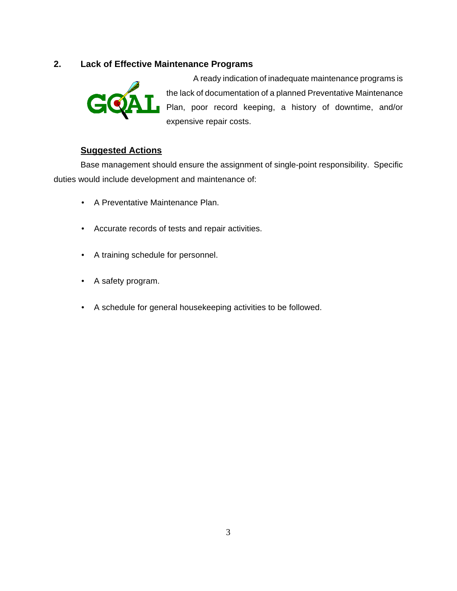# **2. Lack of Effective Maintenance Programs**



A ready indication of inadequate maintenance programs is the lack of documentation of a planned Preventative Maintenance Plan, poor record keeping, a history of downtime, and/or expensive repair costs.

# **Suggested Actions**

Base management should ensure the assignment of single-point responsibility. Specific duties would include development and maintenance of:

- A Preventative Maintenance Plan.
- Accurate records of tests and repair activities.
- A training schedule for personnel.
- A safety program.
- A schedule for general housekeeping activities to be followed.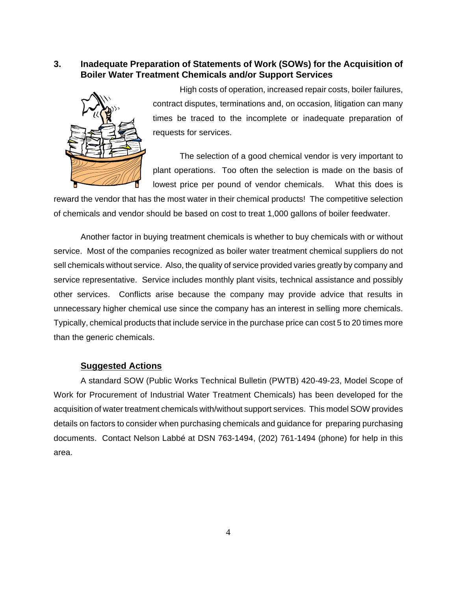# **3. Inadequate Preparation of Statements of Work (SOWs) for the Acquisition of Boiler Water Treatment Chemicals and/or Support Services**



High costs of operation, increased repair costs, boiler failures, contract disputes, terminations and, on occasion, litigation can many times be traced to the incomplete or inadequate preparation of requests for services.

The selection of a good chemical vendor is very important to plant operations. Too often the selection is made on the basis of lowest price per pound of vendor chemicals. What this does is

reward the vendor that has the most water in their chemical products! The competitive selection of chemicals and vendor should be based on cost to treat 1,000 gallons of boiler feedwater.

Another factor in buying treatment chemicals is whether to buy chemicals with or without service. Most of the companies recognized as boiler water treatment chemical suppliers do not sell chemicals without service. Also, the quality of service provided varies greatly by company and service representative. Service includes monthly plant visits, technical assistance and possibly other services. Conflicts arise because the company may provide advice that results in unnecessary higher chemical use since the company has an interest in selling more chemicals. Typically, chemical products that include service in the purchase price can cost 5 to 20 times more than the generic chemicals.

#### **Suggested Actions**

A standard SOW (Public Works Technical Bulletin (PWTB) 420-49-23, Model Scope of Work for Procurement of Industrial Water Treatment Chemicals) has been developed for the acquisition of water treatment chemicals with/without support services. This model SOW provides details on factors to consider when purchasing chemicals and guidance for preparing purchasing documents. Contact Nelson Labbé at DSN 763-1494, (202) 761-1494 (phone) for help in this area.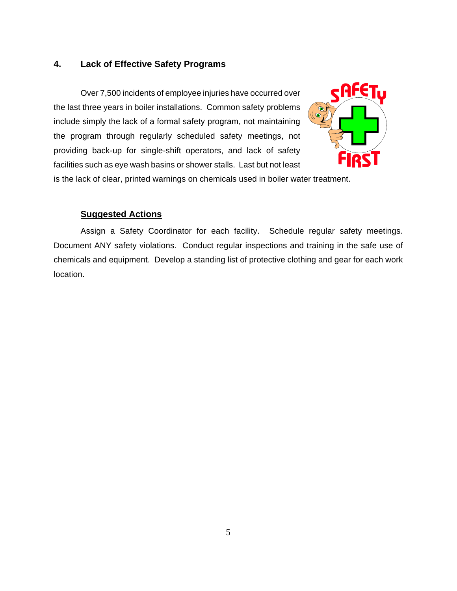#### **4. Lack of Effective Safety Programs**

Over 7,500 incidents of employee injuries have occurred over the last three years in boiler installations. Common safety problems include simply the lack of a formal safety program, not maintaining the program through regularly scheduled safety meetings, not providing back-up for single-shift operators, and lack of safety facilities such as eye wash basins or shower stalls. Last but not least



is the lack of clear, printed warnings on chemicals used in boiler water treatment.

# **Suggested Actions**

Assign a Safety Coordinator for each facility. Schedule regular safety meetings. Document ANY safety violations. Conduct regular inspections and training in the safe use of chemicals and equipment. Develop a standing list of protective clothing and gear for each work location.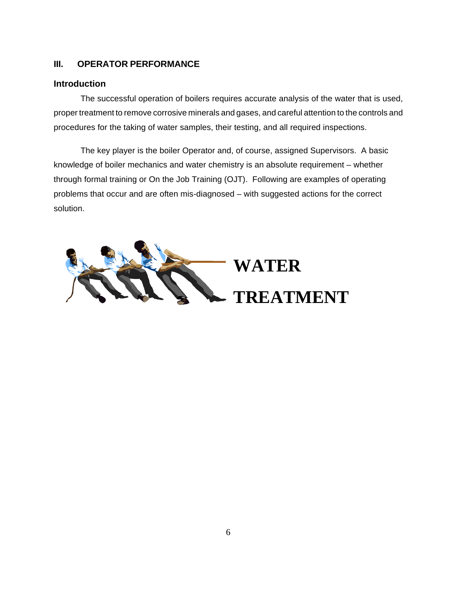# **III. OPERATOR PERFORMANCE**

# **Introduction**

The successful operation of boilers requires accurate analysis of the water that is used, proper treatment to remove corrosive minerals and gases, and careful attention to the controls and procedures for the taking of water samples, their testing, and all required inspections.

The key player is the boiler Operator and, of course, assigned Supervisors. A basic knowledge of boiler mechanics and water chemistry is an absolute requirement – whether through formal training or On the Job Training (OJT). Following are examples of operating problems that occur and are often mis-diagnosed – with suggested actions for the correct solution.

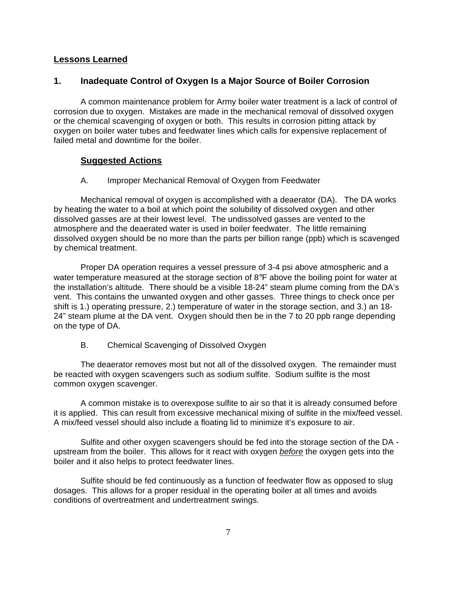#### **Lessons Learned**

#### **1. Inadequate Control of Oxygen Is a Major Source of Boiler Corrosion**

A common maintenance problem for Army boiler water treatment is a lack of control of corrosion due to oxygen. Mistakes are made in the mechanical removal of dissolved oxygen or the chemical scavenging of oxygen or both. This results in corrosion pitting attack by oxygen on boiler water tubes and feedwater lines which calls for expensive replacement of failed metal and downtime for the boiler.

#### **Suggested Actions**

A. Improper Mechanical Removal of Oxygen from Feedwater

Mechanical removal of oxygen is accomplished with a deaerator (DA). The DA works by heating the water to a boil at which point the solubility of dissolved oxygen and other dissolved gasses are at their lowest level. The undissolved gasses are vented to the atmosphere and the deaerated water is used in boiler feedwater. The little remaining dissolved oxygen should be no more than the parts per billion range (ppb) which is scavenged by chemical treatment.

Proper DA operation requires a vessel pressure of 3-4 psi above atmospheric and a water temperature measured at the storage section of  $8^{\circ}F$  above the boiling point for water at the installation's altitude. There should be a visible 18-24" steam plume coming from the DA's vent. This contains the unwanted oxygen and other gasses. Three things to check once per shift is 1.) operating pressure, 2.) temperature of water in the storage section, and 3.) an 18- 24" steam plume at the DA vent. Oxygen should then be in the 7 to 20 ppb range depending on the type of DA.

B. Chemical Scavenging of Dissolved Oxygen

The deaerator removes most but not all of the dissolved oxygen. The remainder must be reacted with oxygen scavengers such as sodium sulfite. Sodium sulfite is the most common oxygen scavenger.

A common mistake is to overexpose sulfite to air so that it is already consumed before it is applied. This can result from excessive mechanical mixing of sulfite in the mix/feed vessel. A mix/feed vessel should also include a floating lid to minimize it's exposure to air.

Sulfite and other oxygen scavengers should be fed into the storage section of the DA upstream from the boiler. This allows for it react with oxygen *before* the oxygen gets into the boiler and it also helps to protect feedwater lines.

Sulfite should be fed continuously as a function of feedwater flow as opposed to slug dosages. This allows for a proper residual in the operating boiler at all times and avoids conditions of overtreatment and undertreatment swings.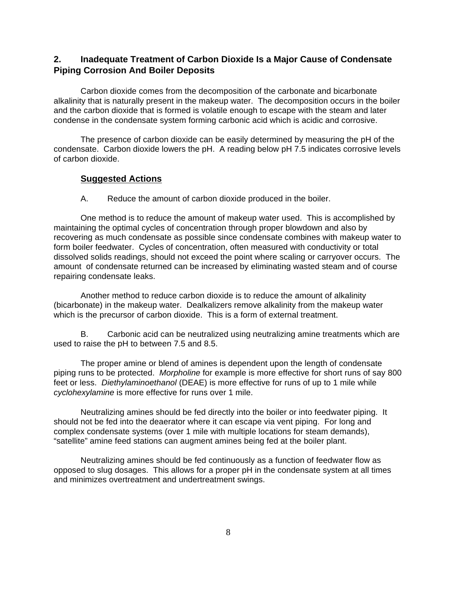# **2. Inadequate Treatment of Carbon Dioxide Is a Major Cause of Condensate Piping Corrosion And Boiler Deposits**

Carbon dioxide comes from the decomposition of the carbonate and bicarbonate alkalinity that is naturally present in the makeup water. The decomposition occurs in the boiler and the carbon dioxide that is formed is volatile enough to escape with the steam and later condense in the condensate system forming carbonic acid which is acidic and corrosive.

The presence of carbon dioxide can be easily determined by measuring the pH of the condensate. Carbon dioxide lowers the pH. A reading below pH 7.5 indicates corrosive levels of carbon dioxide.

#### **Suggested Actions**

A. Reduce the amount of carbon dioxide produced in the boiler.

One method is to reduce the amount of makeup water used. This is accomplished by maintaining the optimal cycles of concentration through proper blowdown and also by recovering as much condensate as possible since condensate combines with makeup water to form boiler feedwater. Cycles of concentration, often measured with conductivity or total dissolved solids readings, should not exceed the point where scaling or carryover occurs. The amount of condensate returned can be increased by eliminating wasted steam and of course repairing condensate leaks.

Another method to reduce carbon dioxide is to reduce the amount of alkalinity (bicarbonate) in the makeup water. Dealkalizers remove alkalinity from the makeup water which is the precursor of carbon dioxide. This is a form of external treatment.

B. Carbonic acid can be neutralized using neutralizing amine treatments which are used to raise the pH to between 7.5 and 8.5.

The proper amine or blend of amines is dependent upon the length of condensate piping runs to be protected. *Morpholine* for example is more effective for short runs of say 800 feet or less. *Diethylaminoethanol* (DEAE) is more effective for runs of up to 1 mile while *cyclohexylamine* is more effective for runs over 1 mile.

Neutralizing amines should be fed directly into the boiler or into feedwater piping. It should not be fed into the deaerator where it can escape via vent piping. For long and complex condensate systems (over 1 mile with multiple locations for steam demands), "satellite" amine feed stations can augment amines being fed at the boiler plant.

Neutralizing amines should be fed continuously as a function of feedwater flow as opposed to slug dosages. This allows for a proper pH in the condensate system at all times and minimizes overtreatment and undertreatment swings.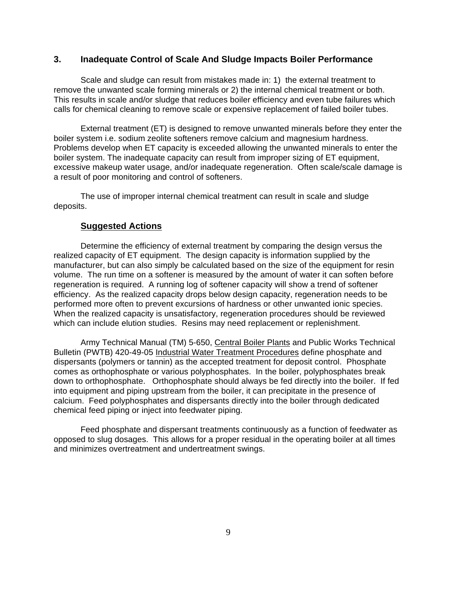#### **3. Inadequate Control of Scale And Sludge Impacts Boiler Performance**

Scale and sludge can result from mistakes made in: 1) the external treatment to remove the unwanted scale forming minerals or 2) the internal chemical treatment or both. This results in scale and/or sludge that reduces boiler efficiency and even tube failures which calls for chemical cleaning to remove scale or expensive replacement of failed boiler tubes.

External treatment (ET) is designed to remove unwanted minerals before they enter the boiler system i.e. sodium zeolite softeners remove calcium and magnesium hardness. Problems develop when ET capacity is exceeded allowing the unwanted minerals to enter the boiler system. The inadequate capacity can result from improper sizing of ET equipment, excessive makeup water usage, and/or inadequate regeneration. Often scale/scale damage is a result of poor monitoring and control of softeners.

The use of improper internal chemical treatment can result in scale and sludge deposits.

# **Suggested Actions**

Determine the efficiency of external treatment by comparing the design versus the realized capacity of ET equipment. The design capacity is information supplied by the manufacturer, but can also simply be calculated based on the size of the equipment for resin volume. The run time on a softener is measured by the amount of water it can soften before regeneration is required. A running log of softener capacity will show a trend of softener efficiency. As the realized capacity drops below design capacity, regeneration needs to be performed more often to prevent excursions of hardness or other unwanted ionic species. When the realized capacity is unsatisfactory, regeneration procedures should be reviewed which can include elution studies. Resins may need replacement or replenishment.

Army Technical Manual (TM) 5-650, Central Boiler Plants and Public Works Technical Bulletin (PWTB) 420-49-05 Industrial Water Treatment Procedures define phosphate and dispersants (polymers or tannin) as the accepted treatment for deposit control. Phosphate comes as orthophosphate or various polyphosphates. In the boiler, polyphosphates break down to orthophosphate. Orthophosphate should always be fed directly into the boiler. If fed into equipment and piping upstream from the boiler, it can precipitate in the presence of calcium. Feed polyphosphates and dispersants directly into the boiler through dedicated chemical feed piping or inject into feedwater piping.

Feed phosphate and dispersant treatments continuously as a function of feedwater as opposed to slug dosages. This allows for a proper residual in the operating boiler at all times and minimizes overtreatment and undertreatment swings.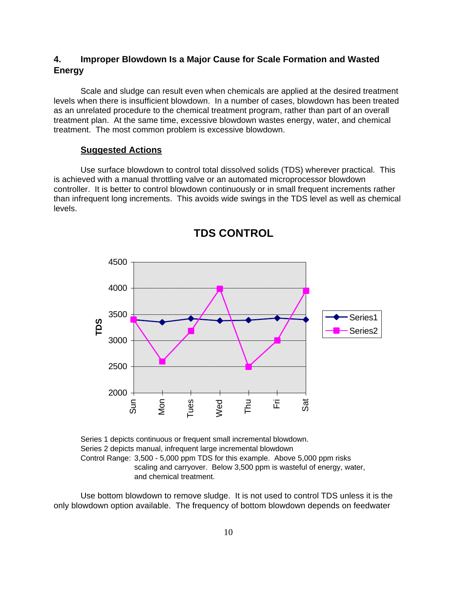# **4. Improper Blowdown Is a Major Cause for Scale Formation and Wasted Energy**

Scale and sludge can result even when chemicals are applied at the desired treatment levels when there is insufficient blowdown. In a number of cases, blowdown has been treated as an unrelated procedure to the chemical treatment program, rather than part of an overall treatment plan. At the same time, excessive blowdown wastes energy, water, and chemical treatment. The most common problem is excessive blowdown.

#### **Suggested Actions**

Use surface blowdown to control total dissolved solids (TDS) wherever practical. This is achieved with a manual throttling valve or an automated microprocessor blowdown controller. It is better to control blowdown continuously or in small frequent increments rather than infrequent long increments. This avoids wide swings in the TDS level as well as chemical levels.



**TDS CONTROL**

Series 1 depicts continuous or frequent small incremental blowdown. Series 2 depicts manual, infrequent large incremental blowdown Control Range: 3,500 - 5,000 ppm TDS for this example. Above 5,000 ppm risks scaling and carryover. Below 3,500 ppm is wasteful of energy, water, and chemical treatment.

Use bottom blowdown to remove sludge. It is not used to control TDS unless it is the only blowdown option available. The frequency of bottom blowdown depends on feedwater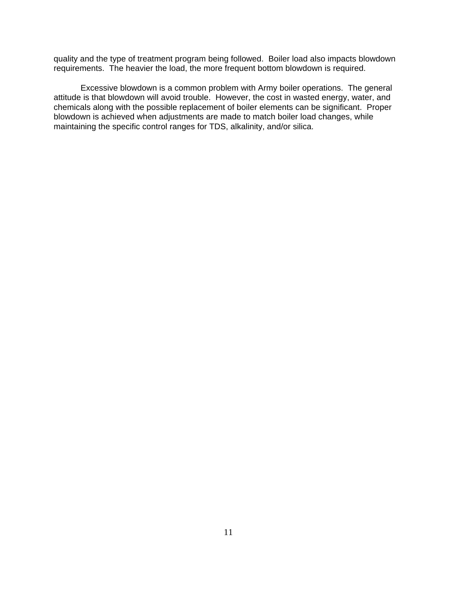quality and the type of treatment program being followed. Boiler load also impacts blowdown requirements. The heavier the load, the more frequent bottom blowdown is required.

Excessive blowdown is a common problem with Army boiler operations. The general attitude is that blowdown will avoid trouble. However, the cost in wasted energy, water, and chemicals along with the possible replacement of boiler elements can be significant. Proper blowdown is achieved when adjustments are made to match boiler load changes, while maintaining the specific control ranges for TDS, alkalinity, and/or silica.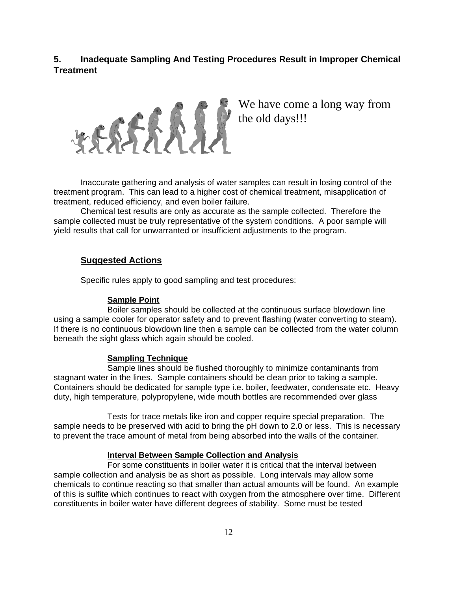# **5. Inadequate Sampling And Testing Procedures Result in Improper Chemical Treatment**



We have come a long way from the old days!!!

Inaccurate gathering and analysis of water samples can result in losing control of the treatment program. This can lead to a higher cost of chemical treatment, misapplication of treatment, reduced efficiency, and even boiler failure.

Chemical test results are only as accurate as the sample collected. Therefore the sample collected must be truly representative of the system conditions. A poor sample will yield results that call for unwarranted or insufficient adjustments to the program.

#### **Suggested Actions**

Specific rules apply to good sampling and test procedures:

#### **Sample Point**

Boiler samples should be collected at the continuous surface blowdown line using a sample cooler for operator safety and to prevent flashing (water converting to steam). If there is no continuous blowdown line then a sample can be collected from the water column beneath the sight glass which again should be cooled.

#### **Sampling Technique**

Sample lines should be flushed thoroughly to minimize contaminants from stagnant water in the lines. Sample containers should be clean prior to taking a sample. Containers should be dedicated for sample type i.e. boiler, feedwater, condensate etc. Heavy duty, high temperature, polypropylene, wide mouth bottles are recommended over glass

Tests for trace metals like iron and copper require special preparation. The sample needs to be preserved with acid to bring the pH down to 2.0 or less. This is necessary to prevent the trace amount of metal from being absorbed into the walls of the container.

#### **Interval Between Sample Collection and Analysis**

For some constituents in boiler water it is critical that the interval between sample collection and analysis be as short as possible. Long intervals may allow some chemicals to continue reacting so that smaller than actual amounts will be found. An example of this is sulfite which continues to react with oxygen from the atmosphere over time. Different constituents in boiler water have different degrees of stability. Some must be tested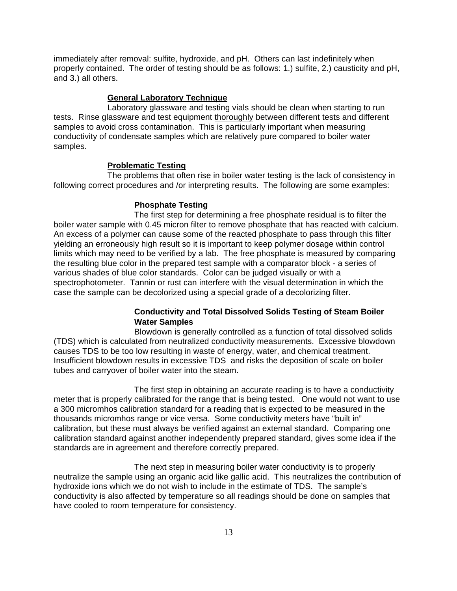immediately after removal: sulfite, hydroxide, and pH. Others can last indefinitely when properly contained. The order of testing should be as follows: 1.) sulfite, 2.) causticity and pH, and 3.) all others.

#### **General Laboratory Technique**

Laboratory glassware and testing vials should be clean when starting to run tests. Rinse glassware and test equipment thoroughly between different tests and different samples to avoid cross contamination. This is particularly important when measuring conductivity of condensate samples which are relatively pure compared to boiler water samples.

#### **Problematic Testing**

The problems that often rise in boiler water testing is the lack of consistency in following correct procedures and /or interpreting results. The following are some examples:

#### **Phosphate Testing**

The first step for determining a free phosphate residual is to filter the boiler water sample with 0.45 micron filter to remove phosphate that has reacted with calcium. An excess of a polymer can cause some of the reacted phosphate to pass through this filter yielding an erroneously high result so it is important to keep polymer dosage within control limits which may need to be verified by a lab. The free phosphate is measured by comparing the resulting blue color in the prepared test sample with a comparator block - a series of various shades of blue color standards. Color can be judged visually or with a spectrophotometer. Tannin or rust can interfere with the visual determination in which the case the sample can be decolorized using a special grade of a decolorizing filter.

## **Conductivity and Total Dissolved Solids Testing of Steam Boiler Water Samples**

Blowdown is generally controlled as a function of total dissolved solids (TDS) which is calculated from neutralized conductivity measurements. Excessive blowdown causes TDS to be too low resulting in waste of energy, water, and chemical treatment. Insufficient blowdown results in excessive TDS and risks the deposition of scale on boiler tubes and carryover of boiler water into the steam.

The first step in obtaining an accurate reading is to have a conductivity meter that is properly calibrated for the range that is being tested. One would not want to use a 300 micromhos calibration standard for a reading that is expected to be measured in the thousands micromhos range or vice versa. Some conductivity meters have "built in" calibration, but these must always be verified against an external standard. Comparing one calibration standard against another independently prepared standard, gives some idea if the standards are in agreement and therefore correctly prepared.

The next step in measuring boiler water conductivity is to properly neutralize the sample using an organic acid like gallic acid. This neutralizes the contribution of hydroxide ions which we do not wish to include in the estimate of TDS. The sample's conductivity is also affected by temperature so all readings should be done on samples that have cooled to room temperature for consistency.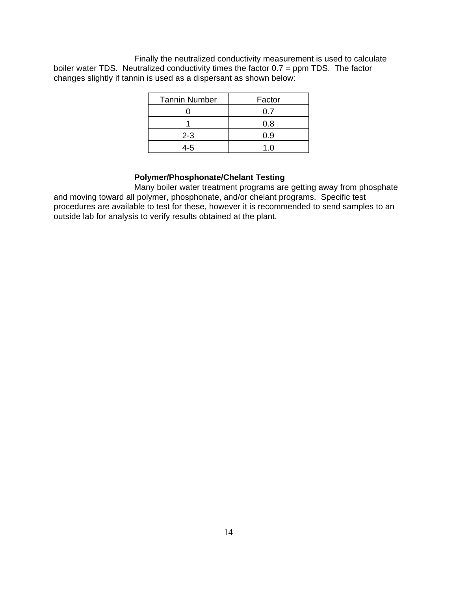Finally the neutralized conductivity measurement is used to calculate boiler water TDS. Neutralized conductivity times the factor 0.7 = ppm TDS. The factor changes slightly if tannin is used as a dispersant as shown below:

| <b>Tannin Number</b> | Factor |
|----------------------|--------|
|                      | 0. Z   |
|                      | 0.8    |
| $2 - 3$              | 0.9    |
|                      | 1 D    |

# **Polymer/Phosphonate/Chelant Testing**

Many boiler water treatment programs are getting away from phosphate and moving toward all polymer, phosphonate, and/or chelant programs. Specific test procedures are available to test for these, however it is recommended to send samples to an outside lab for analysis to verify results obtained at the plant.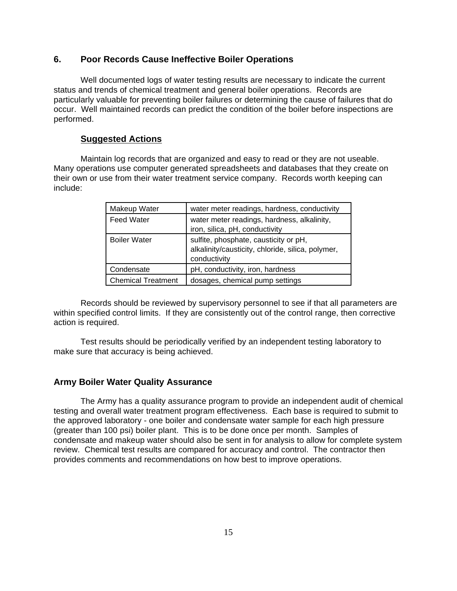#### **6. Poor Records Cause Ineffective Boiler Operations**

Well documented logs of water testing results are necessary to indicate the current status and trends of chemical treatment and general boiler operations. Records are particularly valuable for preventing boiler failures or determining the cause of failures that do occur. Well maintained records can predict the condition of the boiler before inspections are performed.

#### **Suggested Actions**

Maintain log records that are organized and easy to read or they are not useable. Many operations use computer generated spreadsheets and databases that they create on their own or use from their water treatment service company. Records worth keeping can include:

| Makeup Water              | water meter readings, hardness, conductivity                                                               |
|---------------------------|------------------------------------------------------------------------------------------------------------|
| <b>Feed Water</b>         | water meter readings, hardness, alkalinity,<br>iron, silica, pH, conductivity                              |
| <b>Boiler Water</b>       | sulfite, phosphate, causticity or pH,<br>alkalinity/causticity, chloride, silica, polymer,<br>conductivity |
| Condensate                | pH, conductivity, iron, hardness                                                                           |
| <b>Chemical Treatment</b> | dosages, chemical pump settings                                                                            |

Records should be reviewed by supervisory personnel to see if that all parameters are within specified control limits. If they are consistently out of the control range, then corrective action is required.

Test results should be periodically verified by an independent testing laboratory to make sure that accuracy is being achieved.

# **Army Boiler Water Quality Assurance**

The Army has a quality assurance program to provide an independent audit of chemical testing and overall water treatment program effectiveness. Each base is required to submit to the approved laboratory - one boiler and condensate water sample for each high pressure (greater than 100 psi) boiler plant. This is to be done once per month. Samples of condensate and makeup water should also be sent in for analysis to allow for complete system review. Chemical test results are compared for accuracy and control. The contractor then provides comments and recommendations on how best to improve operations.